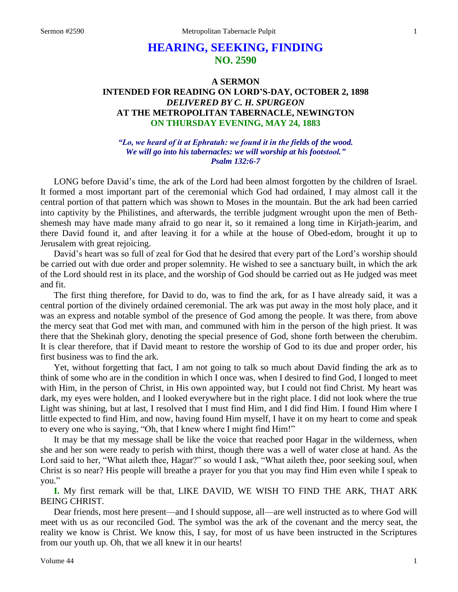# **HEARING, SEEKING, FINDING NO. 2590**

### **A SERMON INTENDED FOR READING ON LORD'S-DAY, OCTOBER 2, 1898** *DELIVERED BY C. H. SPURGEON* **AT THE METROPOLITAN TABERNACLE, NEWINGTON ON THURSDAY EVENING, MAY 24, 1883**

*"Lo, we heard of it at Ephratah: we found it in the fields of the wood. We will go into his tabernacles: we will worship at his footstool." Psalm 132:6-7*

LONG before David's time, the ark of the Lord had been almost forgotten by the children of Israel. It formed a most important part of the ceremonial which God had ordained, I may almost call it the central portion of that pattern which was shown to Moses in the mountain. But the ark had been carried into captivity by the Philistines, and afterwards, the terrible judgment wrought upon the men of Bethshemesh may have made many afraid to go near it, so it remained a long time in Kirjath-jearim, and there David found it, and after leaving it for a while at the house of Obed-edom, brought it up to Jerusalem with great rejoicing.

David's heart was so full of zeal for God that he desired that every part of the Lord's worship should be carried out with due order and proper solemnity. He wished to see a sanctuary built, in which the ark of the Lord should rest in its place, and the worship of God should be carried out as He judged was meet and fit.

The first thing therefore, for David to do, was to find the ark, for as I have already said, it was a central portion of the divinely ordained ceremonial. The ark was put away in the most holy place, and it was an express and notable symbol of the presence of God among the people. It was there, from above the mercy seat that God met with man, and communed with him in the person of the high priest. It was there that the Shekinah glory, denoting the special presence of God, shone forth between the cherubim. It is clear therefore, that if David meant to restore the worship of God to its due and proper order, his first business was to find the ark.

Yet, without forgetting that fact, I am not going to talk so much about David finding the ark as to think of some who are in the condition in which I once was, when I desired to find God, I longed to meet with Him, in the person of Christ, in His own appointed way, but I could not find Christ. My heart was dark, my eyes were holden, and I looked everywhere but in the right place. I did not look where the true Light was shining, but at last, I resolved that I must find Him, and I did find Him. I found Him where I little expected to find Him, and now, having found Him myself, I have it on my heart to come and speak to every one who is saying, "Oh, that I knew where I might find Him!"

It may be that my message shall be like the voice that reached poor Hagar in the wilderness, when she and her son were ready to perish with thirst, though there was a well of water close at hand. As the Lord said to her, "What aileth thee, Hagar?" so would I ask, "What aileth thee, poor seeking soul, when Christ is so near? His people will breathe a prayer for you that you may find Him even while I speak to you."

**I.** My first remark will be that, LIKE DAVID, WE WISH TO FIND THE ARK, THAT ARK BEING CHRIST.

Dear friends, most here present—and I should suppose, all—are well instructed as to where God will meet with us as our reconciled God. The symbol was the ark of the covenant and the mercy seat, the reality we know is Christ. We know this, I say, for most of us have been instructed in the Scriptures from our youth up. Oh, that we all knew it in our hearts!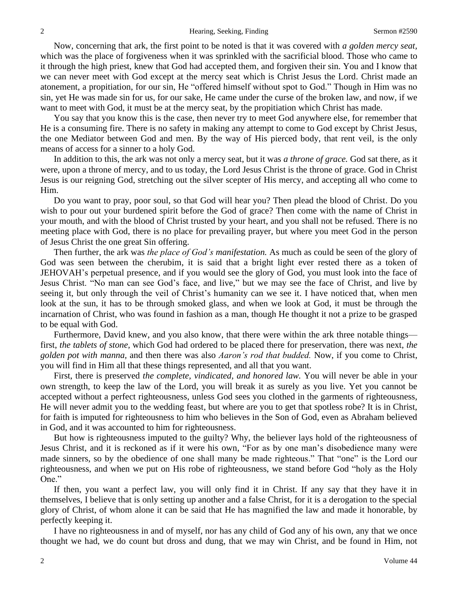Now, concerning that ark, the first point to be noted is that it was covered with *a golden mercy seat,* which was the place of forgiveness when it was sprinkled with the sacrificial blood. Those who came to it through the high priest, knew that God had accepted them, and forgiven their sin. You and I know that we can never meet with God except at the mercy seat which is Christ Jesus the Lord. Christ made an atonement, a propitiation, for our sin, He "offered himself without spot to God." Though in Him was no sin, yet He was made sin for us, for our sake, He came under the curse of the broken law, and now, if we want to meet with God, it must be at the mercy seat, by the propitiation which Christ has made.

You say that you know this is the case, then never try to meet God anywhere else, for remember that He is a consuming fire. There is no safety in making any attempt to come to God except by Christ Jesus, the one Mediator between God and men. By the way of His pierced body, that rent veil, is the only means of access for a sinner to a holy God.

In addition to this, the ark was not only a mercy seat, but it was *a throne of grace.* God sat there, as it were, upon a throne of mercy, and to us today, the Lord Jesus Christ is the throne of grace. God in Christ Jesus is our reigning God, stretching out the silver scepter of His mercy, and accepting all who come to Him.

Do you want to pray, poor soul, so that God will hear you? Then plead the blood of Christ. Do you wish to pour out your burdened spirit before the God of grace? Then come with the name of Christ in your mouth, and with the blood of Christ trusted by your heart, and you shall not be refused. There is no meeting place with God, there is no place for prevailing prayer, but where you meet God in the person of Jesus Christ the one great Sin offering.

Then further, the ark was *the place of God's manifestation.* As much as could be seen of the glory of God was seen between the cherubim, it is said that a bright light ever rested there as a token of JEHOVAH's perpetual presence, and if you would see the glory of God, you must look into the face of Jesus Christ. "No man can see God's face, and live," but we may see the face of Christ, and live by seeing it, but only through the veil of Christ's humanity can we see it. I have noticed that, when men look at the sun, it has to be through smoked glass, and when we look at God, it must be through the incarnation of Christ, who was found in fashion as a man, though He thought it not a prize to be grasped to be equal with God.

Furthermore, David knew, and you also know, that there were within the ark three notable things first, *the tablets of stone,* which God had ordered to be placed there for preservation, there was next, *the golden pot with manna,* and then there was also *Aaron's rod that budded.* Now, if you come to Christ, you will find in Him all that these things represented, and all that you want.

First, there is preserved *the complete, vindicated, and honored law.* You will never be able in your own strength, to keep the law of the Lord, you will break it as surely as you live. Yet you cannot be accepted without a perfect righteousness, unless God sees you clothed in the garments of righteousness, He will never admit you to the wedding feast, but where are you to get that spotless robe? It is in Christ, for faith is imputed for righteousness to him who believes in the Son of God, even as Abraham believed in God, and it was accounted to him for righteousness.

But how is righteousness imputed to the guilty? Why, the believer lays hold of the righteousness of Jesus Christ, and it is reckoned as if it were his own, "For as by one man's disobedience many were made sinners, so by the obedience of one shall many be made righteous." That "one" is the Lord our righteousness, and when we put on His robe of righteousness, we stand before God "holy as the Holy One."

If then, you want a perfect law, you will only find it in Christ. If any say that they have it in themselves, I believe that is only setting up another and a false Christ, for it is a derogation to the special glory of Christ, of whom alone it can be said that He has magnified the law and made it honorable, by perfectly keeping it.

I have no righteousness in and of myself, nor has any child of God any of his own, any that we once thought we had, we do count but dross and dung, that we may win Christ, and be found in Him, not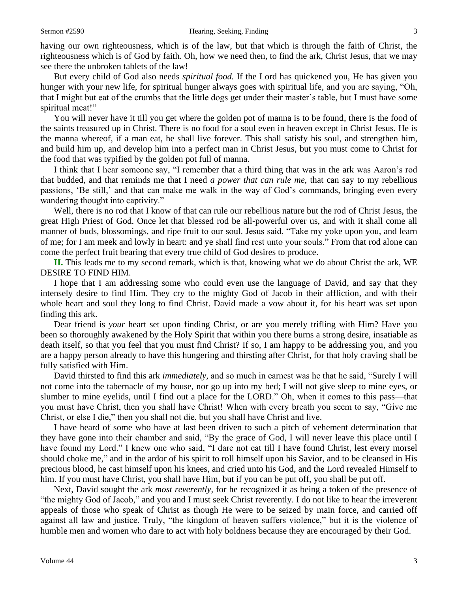having our own righteousness, which is of the law, but that which is through the faith of Christ, the righteousness which is of God by faith. Oh, how we need then, to find the ark, Christ Jesus, that we may see there the unbroken tablets of the law!

But every child of God also needs *spiritual food.* If the Lord has quickened you, He has given you hunger with your new life, for spiritual hunger always goes with spiritual life, and you are saying, "Oh, that I might but eat of the crumbs that the little dogs get under their master's table, but I must have some spiritual meat!"

You will never have it till you get where the golden pot of manna is to be found, there is the food of the saints treasured up in Christ. There is no food for a soul even in heaven except in Christ Jesus. He is the manna whereof, if a man eat, he shall live forever. This shall satisfy his soul, and strengthen him, and build him up, and develop him into a perfect man in Christ Jesus, but you must come to Christ for the food that was typified by the golden pot full of manna.

I think that I hear someone say, "I remember that a third thing that was in the ark was Aaron's rod that budded, and that reminds me that I need *a power that can rule me,* that can say to my rebellious passions, 'Be still,' and that can make me walk in the way of God's commands, bringing even every wandering thought into captivity."

Well, there is no rod that I know of that can rule our rebellious nature but the rod of Christ Jesus, the great High Priest of God. Once let that blessed rod be all-powerful over us, and with it shall come all manner of buds, blossomings, and ripe fruit to our soul. Jesus said, "Take my yoke upon you, and learn of me; for I am meek and lowly in heart: and ye shall find rest unto your souls." From that rod alone can come the perfect fruit bearing that every true child of God desires to produce.

**II.** This leads me to my second remark, which is that, knowing what we do about Christ the ark, WE DESIRE TO FIND HIM.

I hope that I am addressing some who could even use the language of David, and say that they intensely desire to find Him. They cry to the mighty God of Jacob in their affliction, and with their whole heart and soul they long to find Christ. David made a vow about it, for his heart was set upon finding this ark.

Dear friend is *your* heart set upon finding Christ, or are you merely trifling with Him? Have you been so thoroughly awakened by the Holy Spirit that within you there burns a strong desire, insatiable as death itself, so that you feel that you must find Christ? If so, I am happy to be addressing you, and you are a happy person already to have this hungering and thirsting after Christ, for that holy craving shall be fully satisfied with Him.

David thirsted to find this ark *immediately,* and so much in earnest was he that he said, "Surely I will not come into the tabernacle of my house, nor go up into my bed; I will not give sleep to mine eyes, or slumber to mine eyelids, until I find out a place for the LORD." Oh, when it comes to this pass—that you must have Christ, then you shall have Christ! When with every breath you seem to say, "Give me Christ, or else I die," then you shall not die, but you shall have Christ and live.

I have heard of some who have at last been driven to such a pitch of vehement determination that they have gone into their chamber and said, "By the grace of God, I will never leave this place until I have found my Lord." I knew one who said, "I dare not eat till I have found Christ, lest every morsel should choke me," and in the ardor of his spirit to roll himself upon his Savior, and to be cleansed in His precious blood, he cast himself upon his knees, and cried unto his God, and the Lord revealed Himself to him. If you must have Christ, you shall have Him, but if you can be put off, you shall be put off.

Next, David sought the ark *most reverently,* for he recognized it as being a token of the presence of "the mighty God of Jacob," and you and I must seek Christ reverently. I do not like to hear the irreverent appeals of those who speak of Christ as though He were to be seized by main force, and carried off against all law and justice. Truly, "the kingdom of heaven suffers violence," but it is the violence of humble men and women who dare to act with holy boldness because they are encouraged by their God.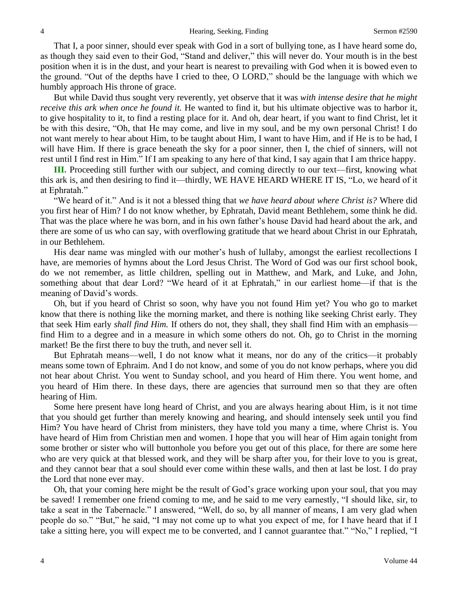That I, a poor sinner, should ever speak with God in a sort of bullying tone, as I have heard some do, as though they said even to their God, "Stand and deliver," this will never do. Your mouth is in the best position when it is in the dust, and your heart is nearest to prevailing with God when it is bowed even to the ground. "Out of the depths have I cried to thee, O LORD," should be the language with which we humbly approach His throne of grace.

But while David thus sought very reverently, yet observe that it was *with intense desire that he might receive this ark when once he found it.* He wanted to find it, but his ultimate objective was to harbor it, to give hospitality to it, to find a resting place for it. And oh, dear heart, if you want to find Christ, let it be with this desire, "Oh, that He may come, and live in my soul, and be my own personal Christ! I do not want merely to hear about Him, to be taught about Him, I want to have Him, and if He is to be had, I will have Him. If there is grace beneath the sky for a poor sinner, then I, the chief of sinners, will not rest until I find rest in Him." If I am speaking to any here of that kind, I say again that I am thrice happy.

**III.** Proceeding still further with our subject, and coming directly to our text—first, knowing what this ark is, and then desiring to find it—thirdly, WE HAVE HEARD WHERE IT IS, "Lo, we heard of it at Ephratah."

"We heard of it." And is it not a blessed thing that *we have heard about where Christ is?* Where did you first hear of Him? I do not know whether, by Ephratah, David meant Bethlehem, some think he did. That was the place where he was born, and in his own father's house David had heard about the ark, and there are some of us who can say, with overflowing gratitude that we heard about Christ in our Ephratah, in our Bethlehem.

His dear name was mingled with our mother's hush of lullaby, amongst the earliest recollections I have, are memories of hymns about the Lord Jesus Christ. The Word of God was our first school book, do we not remember, as little children, spelling out in Matthew, and Mark, and Luke, and John, something about that dear Lord? "We heard of it at Ephratah," in our earliest home—if that is the meaning of David's words.

Oh, but if you heard of Christ so soon, why have you not found Him yet? You who go to market know that there is nothing like the morning market, and there is nothing like seeking Christ early. They that seek Him early *shall find Him.* If others do not, they shall, they shall find Him with an emphasis find Him to a degree and in a measure in which some others do not. Oh, go to Christ in the morning market! Be the first there to buy the truth, and never sell it.

But Ephratah means—well, I do not know what it means, nor do any of the critics—it probably means some town of Ephraim. And I do not know, and some of you do not know perhaps, where you did not hear about Christ. You went to Sunday school, and you heard of Him there. You went home, and you heard of Him there. In these days, there are agencies that surround men so that they are often hearing of Him.

Some here present have long heard of Christ, and you are always hearing about Him, is it not time that you should get further than merely knowing and hearing, and should intensely seek until you find Him? You have heard of Christ from ministers, they have told you many a time, where Christ is. You have heard of Him from Christian men and women. I hope that you will hear of Him again tonight from some brother or sister who will buttonhole you before you get out of this place, for there are some here who are very quick at that blessed work, and they will be sharp after you, for their love to you is great, and they cannot bear that a soul should ever come within these walls, and then at last be lost. I do pray the Lord that none ever may.

Oh, that your coming here might be the result of God's grace working upon your soul, that you may be saved! I remember one friend coming to me, and he said to me very earnestly, "I should like, sir, to take a seat in the Tabernacle." I answered, "Well, do so, by all manner of means, I am very glad when people do so." "But," he said, "I may not come up to what you expect of me, for I have heard that if I take a sitting here, you will expect me to be converted, and I cannot guarantee that." "No," I replied, "I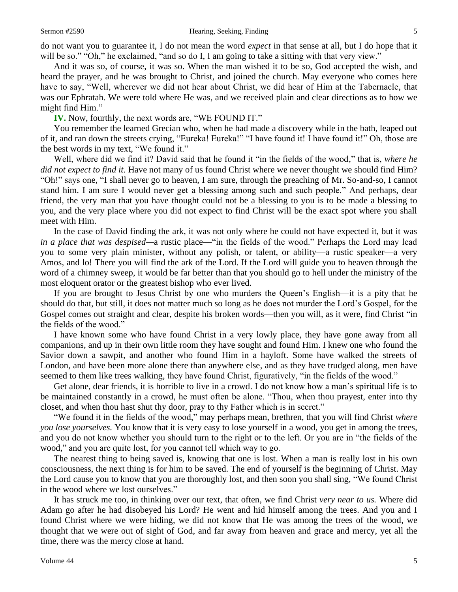do not want you to guarantee it, I do not mean the word *expect* in that sense at all, but I do hope that it will be so." "Oh," he exclaimed, "and so do I, I am going to take a sitting with that very view."

And it was so, of course, it was so. When the man wished it to be so, God accepted the wish, and heard the prayer, and he was brought to Christ, and joined the church. May everyone who comes here have to say, "Well, wherever we did not hear about Christ, we did hear of Him at the Tabernacle, that was our Ephratah. We were told where He was, and we received plain and clear directions as to how we might find Him."

**IV.** Now, fourthly, the next words are, "WE FOUND IT."

You remember the learned Grecian who, when he had made a discovery while in the bath, leaped out of it, and ran down the streets crying, "Eureka! Eureka!" "I have found it! I have found it!" Oh, those are the best words in my text, "We found it."

Well, where did we find it? David said that he found it "in the fields of the wood," that is, *where he did not expect to find it.* Have not many of us found Christ where we never thought we should find Him? "Oh!" says one, "I shall never go to heaven, I am sure, through the preaching of Mr. So-and-so, I cannot stand him. I am sure I would never get a blessing among such and such people." And perhaps, dear friend, the very man that you have thought could not be a blessing to you is to be made a blessing to you, and the very place where you did not expect to find Christ will be the exact spot where you shall meet with Him.

In the case of David finding the ark, it was not only where he could not have expected it, but it was *in a place that was despised—*a rustic place—"in the fields of the wood." Perhaps the Lord may lead you to some very plain minister, without any polish, or talent, or ability—a rustic speaker—a very Amos, and lo! There you will find the ark of the Lord. If the Lord will guide you to heaven through the word of a chimney sweep, it would be far better than that you should go to hell under the ministry of the most eloquent orator or the greatest bishop who ever lived.

If you are brought to Jesus Christ by one who murders the Queen's English—it is a pity that he should do that, but still, it does not matter much so long as he does not murder the Lord's Gospel, for the Gospel comes out straight and clear, despite his broken words—then you will, as it were, find Christ "in the fields of the wood."

I have known some who have found Christ in a very lowly place, they have gone away from all companions, and up in their own little room they have sought and found Him. I knew one who found the Savior down a sawpit, and another who found Him in a hayloft. Some have walked the streets of London, and have been more alone there than anywhere else, and as they have trudged along, men have seemed to them like trees walking, they have found Christ, figuratively, "in the fields of the wood."

Get alone, dear friends, it is horrible to live in a crowd. I do not know how a man's spiritual life is to be maintained constantly in a crowd, he must often be alone. "Thou, when thou prayest, enter into thy closet, and when thou hast shut thy door, pray to thy Father which is in secret."

"We found it in the fields of the wood," may perhaps mean, brethren, that you will find Christ *where you lose yourselves.* You know that it is very easy to lose yourself in a wood, you get in among the trees, and you do not know whether you should turn to the right or to the left. Or you are in "the fields of the wood," and you are quite lost, for you cannot tell which way to go.

The nearest thing to being saved is, knowing that one is lost. When a man is really lost in his own consciousness, the next thing is for him to be saved. The end of yourself is the beginning of Christ. May the Lord cause you to know that you are thoroughly lost, and then soon you shall sing, "We found Christ in the wood where we lost ourselves."

It has struck me too, in thinking over our text, that often, we find Christ *very near to us.* Where did Adam go after he had disobeyed his Lord? He went and hid himself among the trees. And you and I found Christ where we were hiding, we did not know that He was among the trees of the wood, we thought that we were out of sight of God, and far away from heaven and grace and mercy, yet all the time, there was the mercy close at hand.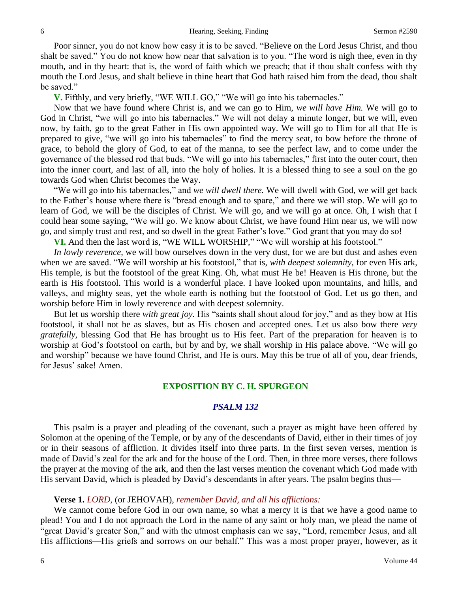Poor sinner, you do not know how easy it is to be saved. "Believe on the Lord Jesus Christ, and thou shalt be saved." You do not know how near that salvation is to you. "The word is nigh thee, even in thy mouth, and in thy heart: that is, the word of faith which we preach; that if thou shalt confess with thy mouth the Lord Jesus, and shalt believe in thine heart that God hath raised him from the dead, thou shalt be saved."

**V.** Fifthly, and very briefly, "WE WILL GO," "We will go into his tabernacles."

Now that we have found where Christ is, and we can go to Him, *we will have Him.* We will go to God in Christ, "we will go into his tabernacles." We will not delay a minute longer, but we will, even now, by faith, go to the great Father in His own appointed way. We will go to Him for all that He is prepared to give, "we will go into his tabernacles" to find the mercy seat, to bow before the throne of grace, to behold the glory of God, to eat of the manna, to see the perfect law, and to come under the governance of the blessed rod that buds. "We will go into his tabernacles," first into the outer court, then into the inner court, and last of all, into the holy of holies. It is a blessed thing to see a soul on the go towards God when Christ becomes the Way.

"We will go into his tabernacles," and *we will dwell there.* We will dwell with God, we will get back to the Father's house where there is "bread enough and to spare," and there we will stop. We will go to learn of God, we will be the disciples of Christ. We will go, and we will go at once. Oh, I wish that I could hear some saying, "We will go. We know about Christ, we have found Him near us, we will now go, and simply trust and rest, and so dwell in the great Father's love." God grant that you may do so!

**VI.** And then the last word is, "WE WILL WORSHIP," "We will worship at his footstool."

*In lowly reverence,* we will bow ourselves down in the very dust, for we are but dust and ashes even when we are saved. "We will worship at his footstool," that is, *with deepest solemnity,* for even His ark, His temple, is but the footstool of the great King. Oh, what must He be! Heaven is His throne, but the earth is His footstool. This world is a wonderful place. I have looked upon mountains, and hills, and valleys, and mighty seas, yet the whole earth is nothing but the footstool of God. Let us go then, and worship before Him in lowly reverence and with deepest solemnity.

But let us worship there *with great joy.* His "saints shall shout aloud for joy," and as they bow at His footstool, it shall not be as slaves, but as His chosen and accepted ones. Let us also bow there *very gratefully,* blessing God that He has brought us to His feet. Part of the preparation for heaven is to worship at God's footstool on earth, but by and by, we shall worship in His palace above. "We will go and worship" because we have found Christ, and He is ours. May this be true of all of you, dear friends, for Jesus' sake! Amen.

#### **EXPOSITION BY C. H. SPURGEON**

#### *PSALM 132*

This psalm is a prayer and pleading of the covenant, such a prayer as might have been offered by Solomon at the opening of the Temple, or by any of the descendants of David, either in their times of joy or in their seasons of affliction. It divides itself into three parts. In the first seven verses, mention is made of David's zeal for the ark and for the house of the Lord. Then, in three more verses, there follows the prayer at the moving of the ark, and then the last verses mention the covenant which God made with His servant David, which is pleaded by David's descendants in after years. The psalm begins thus—

#### **Verse 1.** *LORD,* (or JEHOVAH), *remember David, and all his afflictions:*

We cannot come before God in our own name, so what a mercy it is that we have a good name to plead! You and I do not approach the Lord in the name of any saint or holy man, we plead the name of "great David's greater Son," and with the utmost emphasis can we say, "Lord, remember Jesus, and all His afflictions—His griefs and sorrows on our behalf." This was a most proper prayer, however, as it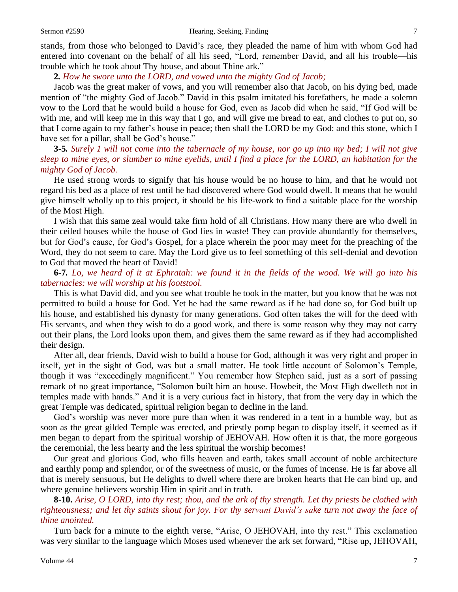stands, from those who belonged to David's race, they pleaded the name of him with whom God had entered into covenant on the behalf of all his seed, "Lord, remember David, and all his trouble—his trouble which he took about Thy house*,* and about Thine ark."

#### **2***. How he swore unto the LORD, and vowed unto the mighty God of Jacob;*

Jacob was the great maker of vows, and you will remember also that Jacob, on his dying bed, made mention of "the mighty God of Jacob." David in this psalm imitated his forefathers, he made a solemn vow to the Lord that he would build a house for God, even as Jacob did when he said, "If God will be with me, and will keep me in this way that I go, and will give me bread to eat, and clothes to put on, so that I come again to my father's house in peace; then shall the LORD be my God: and this stone, which I have set for a pillar, shall be God's house."

**3***-***5***. Surely 1 will not come into the tabernacle of my house, nor go up into my bed; I will not give sleep to mine eyes, or slumber to mine eyelids, until I find a place for the LORD, an habitation for the mighty God of Jacob.*

He used strong words to signify that his house would be no house to him, and that he would not regard his bed as a place of rest until he had discovered where God would dwell. It means that he would give himself wholly up to this project, it should be his life-work to find a suitable place for the worship of the Most High.

I wish that this same zeal would take firm hold of all Christians. How many there are who dwell in their ceiled houses while the house of God lies in waste! They can provide abundantly for themselves, but for God's cause, for God's Gospel, for a place wherein the poor may meet for the preaching of the Word, they do not seem to care. May the Lord give us to feel something of this self-denial and devotion to God that moved the heart of David!

### **6***-***7***. Lo, we heard of it at Ephratah: we found it in the fields of the wood. We will go into his tabernacles: we will worship at his footstool.*

This is what David did, and you see what trouble he took in the matter, but you know that he was not permitted to build a house for God. Yet he had the same reward as if he had done so, for God built up his house, and established his dynasty for many generations. God often takes the will for the deed with His servants, and when they wish to do a good work, and there is some reason why they may not carry out their plans, the Lord looks upon them, and gives them the same reward as if they had accomplished their design.

After all, dear friends, David wish to build a house for God, although it was very right and proper in itself, yet in the sight of God, was but a small matter. He took little account of Solomon's Temple, though it was "exceedingly magnificent." You remember how Stephen said, just as a sort of passing remark of no great importance, "Solomon built him an house. Howbeit, the Most High dwelleth not in temples made with hands." And it is a very curious fact in history, that from the very day in which the great Temple was dedicated, spiritual religion began to decline in the land.

God's worship was never more pure than when it was rendered in a tent in a humble way, but as soon as the great gilded Temple was erected, and priestly pomp began to display itself, it seemed as if men began to depart from the spiritual worship of JEHOVAH. How often it is that, the more gorgeous the ceremonial, the less hearty and the less spiritual the worship becomes!

Our great and glorious God, who fills heaven and earth, takes small account of noble architecture and earthly pomp and splendor, or of the sweetness of music, or the fumes of incense. He is far above all that is merely sensuous, but He delights to dwell where there are broken hearts that He can bind up, and where genuine believers worship Him in spirit and in truth.

### **8-10.** *Arise, O LORD, into thy rest; thou, and the ark of thy strength. Let thy priests be clothed with righteousness; and let thy saints shout for joy. For thy servant David's sake turn not away the face of thine anointed.*

Turn back for a minute to the eighth verse, "Arise, O JEHOVAH, into thy rest." This exclamation was very similar to the language which Moses used whenever the ark set forward, "Rise up, JEHOVAH,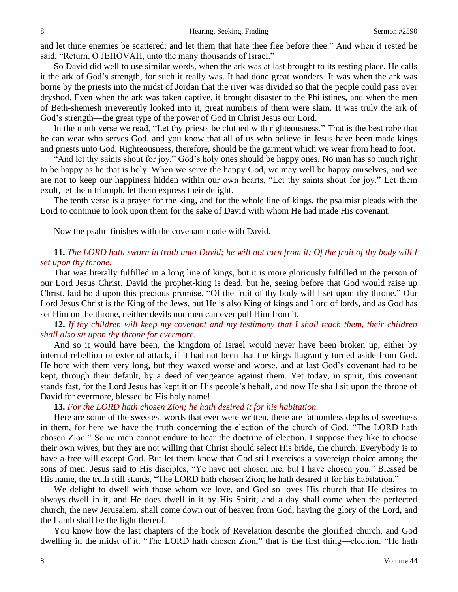and let thine enemies be scattered; and let them that hate thee flee before thee." And when it rested he said, "Return, O JEHOVAH, unto the many thousands of Israel."

So David did well to use similar words, when the ark was at last brought to its resting place. He calls it the ark of God's strength, for such it really was. It had done great wonders. It was when the ark was borne by the priests into the midst of Jordan that the river was divided so that the people could pass over dryshod. Even when the ark was taken captive, it brought disaster to the Philistines, and when the men of Beth-shemesh irreverently looked into it, great numbers of them were slain. It was truly the ark of God's strength—the great type of the power of God in Christ Jesus our Lord.

In the ninth verse we read, "Let thy priests be clothed with righteousness." That is the best robe that he can wear who serves God, and you know that all of us who believe in Jesus have been made kings and priests unto God. Righteousness, therefore, should be the garment which we wear from head to foot.

"And let thy saints shout for joy." God's holy ones should be happy ones. No man has so much right to be happy as he that is holy. When we serve the happy God, we may well be happy ourselves, and we are not to keep our happiness hidden within our own hearts, "Let thy saints shout for joy." Let them exult, let them triumph, let them express their delight.

The tenth verse is a prayer for the king, and for the whole line of kings, the psalmist pleads with the Lord to continue to look upon them for the sake of David with whom He had made His covenant.

Now the psalm finishes with the covenant made with David.

### **11.** *The LORD hath sworn in truth unto David; he will not turn from it; Of the fruit of thy body will I set upon thy throne.*

That was literally fulfilled in a long line of kings, but it is more gloriously fulfilled in the person of our Lord Jesus Christ. David the prophet-king is dead, but he, seeing before that God would raise up Christ, laid hold upon this precious promise, "Of the fruit of thy body will I set upon thy throne*.*" Our Lord Jesus Christ is the King of the Jews, but He is also King of kings and Lord of lords, and as God has set Him on the throne, neither devils nor men can ever pull Him from it.

### **12.** *If thy children will keep my covenant and my testimony that I shall teach them, their children shall also sit upon thy throne for evermore.*

And so it would have been, the kingdom of Israel would never have been broken up, either by internal rebellion or external attack, if it had not been that the kings flagrantly turned aside from God. He bore with them very long, but they waxed worse and worse, and at last God's covenant had to be kept, through their default, by a deed of vengeance against them. Yet today, in spirit, this covenant stands fast, for the Lord Jesus has kept it on His people's behalf, and now He shall sit upon the throne of David for evermore, blessed be His holy name!

### **13.** *For the LORD hath chosen Zion; he hath desired it for his habitation.*

Here are some of the sweetest words that ever were written, there are fathomless depths of sweetness in them, for here we have the truth concerning the election of the church of God, "The LORD hath chosen Zion." Some men cannot endure to hear the doctrine of election. I suppose they like to choose their own wives, but they are not willing that Christ should select His bride, the church. Everybody is to have a free will except God. But let them know that God still exercises a sovereign choice among the sons of men. Jesus said to His disciples, "Ye have not chosen me, but I have chosen you." Blessed be His name, the truth still stands, "The LORD hath chosen Zion; he hath desired it for his habitation."

We delight to dwell with those whom we love, and God so loves His church that He desires to always dwell in it, and He does dwell in it by His Spirit, and a day shall come when the perfected church, the new Jerusalem, shall come down out of heaven from God, having the glory of the Lord, and the Lamb shall be the light thereof.

You know how the last chapters of the book of Revelation describe the glorified church, and God dwelling in the midst of it. "The LORD hath chosen Zion," that is the first thing—election. "He hath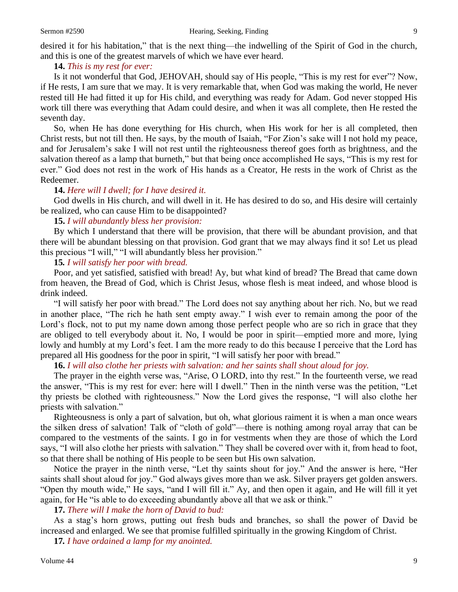desired it for his habitation," that is the next thing—the indwelling of the Spirit of God in the church, and this is one of the greatest marvels of which we have ever heard.

#### **14.** *This is my rest for ever:*

Is it not wonderful that God, JEHOVAH, should say of His people, "This is my rest for ever"? Now, if He rests, I am sure that we may. It is very remarkable that, when God was making the world, He never rested till He had fitted it up for His child, and everything was ready for Adam. God never stopped His work till there was everything that Adam could desire, and when it was all complete, then He rested the seventh day.

So, when He has done everything for His church, when His work for her is all completed, then Christ rests, but not till then. He says, by the mouth of Isaiah, "For Zion's sake will I not hold my peace, and for Jerusalem's sake I will not rest until the righteousness thereof goes forth as brightness, and the salvation thereof as a lamp that burneth," but that being once accomplished He says, "This is my rest for ever." God does not rest in the work of His hands as a Creator, He rests in the work of Christ as the Redeemer.

### **14.** *Here will I dwell; for I have desired it.*

God dwells in His church, and will dwell in it. He has desired to do so, and His desire will certainly be realized, who can cause Him to be disappointed?

### **15.** *I will abundantly bless her provision:*

By which I understand that there will be provision, that there will be abundant provision, and that there will be abundant blessing on that provision. God grant that we may always find it so! Let us plead this precious "I will," "I will abundantly bless her provision."

#### **15***. I will satisfy her poor with bread.*

Poor, and yet satisfied, satisfied with bread! Ay, but what kind of bread? The Bread that came down from heaven, the Bread of God, which is Christ Jesus, whose flesh is meat indeed, and whose blood is drink indeed.

"I will satisfy her poor with bread." The Lord does not say anything about her rich. No, but we read in another place, "The rich he hath sent empty away." I wish ever to remain among the poor of the Lord's flock, not to put my name down among those perfect people who are so rich in grace that they are obliged to tell everybody about it. No, I would be poor in spirit—emptied more and more, lying lowly and humbly at my Lord's feet. I am the more ready to do this because I perceive that the Lord has prepared all His goodness for the poor in spirit, "I will satisfy her poor with bread."

#### **16.** *I will also clothe her priests with salvation: and her saints shall shout aloud for joy.*

The prayer in the eighth verse was, "Arise, O LORD, into thy rest." In the fourteenth verse, we read the answer, "This is my rest for ever: here will I dwell." Then in the ninth verse was the petition, "Let thy priests be clothed with righteousness." Now the Lord gives the response, "I will also clothe her priests with salvation."

Righteousness is only a part of salvation, but oh, what glorious raiment it is when a man once wears the silken dress of salvation! Talk of "cloth of gold"—there is nothing among royal array that can be compared to the vestments of the saints. I go in for vestments when they are those of which the Lord says, "I will also clothe her priests with salvation." They shall be covered over with it, from head to foot, so that there shall be nothing of His people to be seen but His own salvation.

Notice the prayer in the ninth verse, "Let thy saints shout for joy." And the answer is here, "Her saints shall shout aloud for joy." God always gives more than we ask. Silver prayers get golden answers. "Open thy mouth wide," He says, "and I will fill it." Ay, and then open it again, and He will fill it yet again, for He "is able to do exceeding abundantly above all that we ask or think."

**17.** *There will I make the horn of David to bud:*

As a stag's horn grows, putting out fresh buds and branches, so shall the power of David be increased and enlarged. We see that promise fulfilled spiritually in the growing Kingdom of Christ.

**17***. I have ordained a lamp for my anointed.*